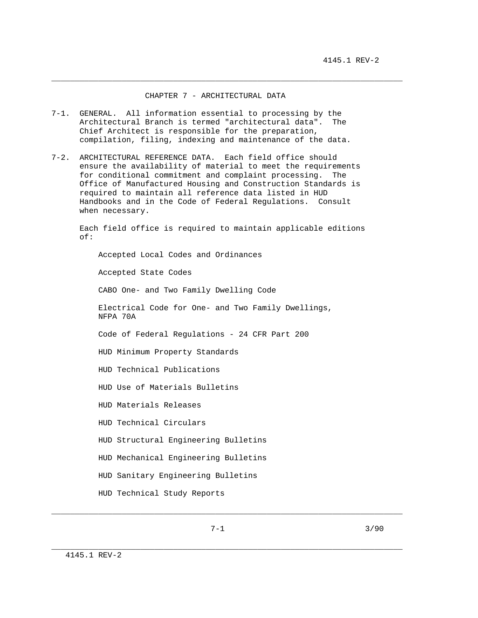## CHAPTER 7 - ARCHITECTURAL DATA

\_\_\_\_\_\_\_\_\_\_\_\_\_\_\_\_\_\_\_\_\_\_\_\_\_\_\_\_\_\_\_\_\_\_\_\_\_\_\_\_\_\_\_\_\_\_\_\_\_\_\_\_\_\_\_\_\_\_\_\_\_\_\_\_\_\_\_\_\_\_\_\_\_\_\_

- 7-1. GENERAL. All information essential to processing by the Architectural Branch is termed "architectural data". The Chief Architect is responsible for the preparation, compilation, filing, indexing and maintenance of the data.
- 7-2. ARCHITECTURAL REFERENCE DATA. Each field office should ensure the availability of material to meet the requirements for conditional commitment and complaint processing. The Office of Manufactured Housing and Construction Standards is required to maintain all reference data listed in HUD Handbooks and in the Code of Federal Regulations. Consult when necessary.

 Each field office is required to maintain applicable editions of:

 Accepted Local Codes and Ordinances Accepted State Codes CABO One- and Two Family Dwelling Code Electrical Code for One- and Two Family Dwellings, NFPA 70A Code of Federal Regulations - 24 CFR Part 200 HUD Minimum Property Standards HUD Technical Publications HUD Use of Materials Bulletins HUD Materials Releases HUD Technical Circulars HUD Structural Engineering Bulletins HUD Mechanical Engineering Bulletins HUD Sanitary Engineering Bulletins HUD Technical Study Reports

\_\_\_\_\_\_\_\_\_\_\_\_\_\_\_\_\_\_\_\_\_\_\_\_\_\_\_\_\_\_\_\_\_\_\_\_\_\_\_\_\_\_\_\_\_\_\_\_\_\_\_\_\_\_\_\_\_\_\_\_\_\_\_\_\_\_\_\_\_\_\_\_\_\_\_

\_\_\_\_\_\_\_\_\_\_\_\_\_\_\_\_\_\_\_\_\_\_\_\_\_\_\_\_\_\_\_\_\_\_\_\_\_\_\_\_\_\_\_\_\_\_\_\_\_\_\_\_\_\_\_\_\_\_\_\_\_\_\_\_\_\_\_\_\_\_\_\_\_\_\_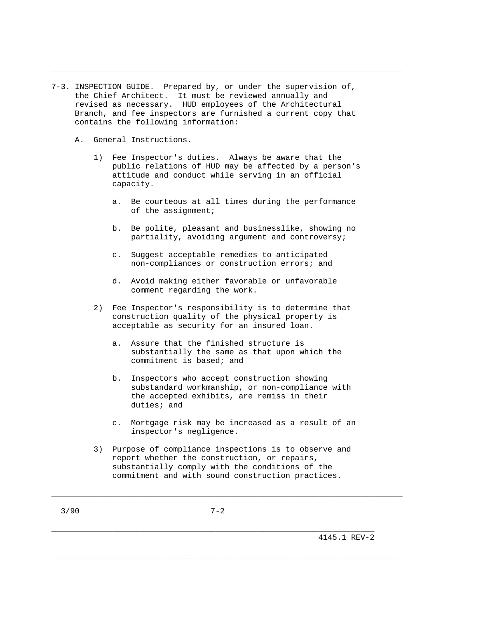- 7-3. INSPECTION GUIDE. Prepared by, or under the supervision of, the Chief Architect. It must be reviewed annually and revised as necessary. HUD employees of the Architectural Branch, and fee inspectors are furnished a current copy that contains the following information:
	- A. General Instructions.
		- 1) Fee Inspector's duties. Always be aware that the public relations of HUD may be affected by a person's attitude and conduct while serving in an official capacity.

\_\_\_\_\_\_\_\_\_\_\_\_\_\_\_\_\_\_\_\_\_\_\_\_\_\_\_\_\_\_\_\_\_\_\_\_\_\_\_\_\_\_\_\_\_\_\_\_\_\_\_\_\_\_\_\_\_\_\_\_\_\_\_\_\_\_\_\_\_\_\_\_\_\_\_

- a. Be courteous at all times during the performance of the assignment;
- b. Be polite, pleasant and businesslike, showing no partiality, avoiding argument and controversy;
- c. Suggest acceptable remedies to anticipated non-compliances or construction errors; and
- d. Avoid making either favorable or unfavorable comment regarding the work.
- 2) Fee Inspector's responsibility is to determine that construction quality of the physical property is acceptable as security for an insured loan.
	- a. Assure that the finished structure is substantially the same as that upon which the commitment is based; and
	- b. Inspectors who accept construction showing substandard workmanship, or non-compliance with the accepted exhibits, are remiss in their duties; and
	- c. Mortgage risk may be increased as a result of an inspector's negligence.
- 3) Purpose of compliance inspections is to observe and report whether the construction, or repairs, substantially comply with the conditions of the commitment and with sound construction practices.

\_\_\_\_\_\_\_\_\_\_\_\_\_\_\_\_\_\_\_\_\_\_\_\_\_\_\_\_\_\_\_\_\_\_\_\_\_\_\_\_\_\_\_\_\_\_\_\_\_\_\_\_\_\_\_\_\_\_\_\_\_\_\_\_\_\_\_\_\_

\_\_\_\_\_\_\_\_\_\_\_\_\_\_\_\_\_\_\_\_\_\_\_\_\_\_\_\_\_\_\_\_\_\_\_\_\_\_\_\_\_\_\_\_\_\_\_\_\_\_\_\_\_\_\_\_\_\_\_\_\_\_\_\_\_\_\_\_\_\_\_\_\_\_\_

\_\_\_\_\_\_\_\_\_\_\_\_\_\_\_\_\_\_\_\_\_\_\_\_\_\_\_\_\_\_\_\_\_\_\_\_\_\_\_\_\_\_\_\_\_\_\_\_\_\_\_\_\_\_\_\_\_\_\_\_\_\_\_\_\_\_\_\_\_\_\_\_\_\_\_

4145.1 REV-2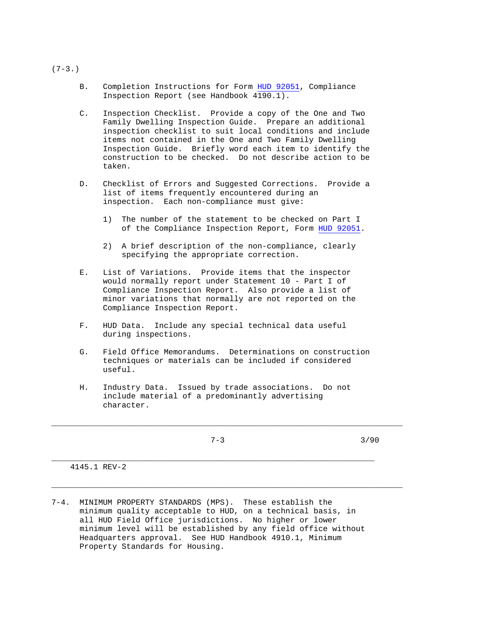- B. Completion Instructions for Form HUD 92051, Compliance Inspection Report (see Handbook 4190.1).
- C. Inspection Checklist. Provide a copy of the One and Two Family Dwelling Inspection Guide. Prepare an additional inspection checklist to suit local conditions and include items not contained in the One and Two Family Dwelling Inspection Guide. Briefly word each item to identify the construction to be checked. Do not describe action to be taken.
- D. Checklist of Errors and Suggested Corrections. Provide a list of items frequently encountered during an inspection. Each non-compliance must give:
	- 1) The number of the statement to be checked on Part I of the Compliance Inspection Report, Form HUD 92051.
	- 2) A brief description of the non-compliance, clearly specifying the appropriate correction.
- E. List of Variations. Provide items that the inspector would normally report under Statement 10 - Part I of Compliance Inspection Report. Also provide a list of minor variations that normally are not reported on the Compliance Inspection Report.
- F. HUD Data. Include any special technical data useful during inspections.
- G. Field Office Memorandums. Determinations on construction techniques or materials can be included if considered useful.
- H. Industry Data. Issued by trade associations. Do not include material of a predominantly advertising character.

\_\_\_\_\_\_\_\_\_\_\_\_\_\_\_\_\_\_\_\_\_\_\_\_\_\_\_\_\_\_\_\_\_\_\_\_\_\_\_\_\_\_\_\_\_\_\_\_\_\_\_\_\_\_\_\_\_\_\_\_\_\_\_\_\_\_\_\_\_

\_\_\_\_\_\_\_\_\_\_\_\_\_\_\_\_\_\_\_\_\_\_\_\_\_\_\_\_\_\_\_\_\_\_\_\_\_\_\_\_\_\_\_\_\_\_\_\_\_\_\_\_\_\_\_\_\_\_\_\_\_\_\_\_\_\_\_\_\_\_\_\_\_\_\_

\_\_\_\_\_\_\_\_\_\_\_\_\_\_\_\_\_\_\_\_\_\_\_\_\_\_\_\_\_\_\_\_\_\_\_\_\_\_\_\_\_\_\_\_\_\_\_\_\_\_\_\_\_\_\_\_\_\_\_\_\_\_\_\_\_\_\_\_\_\_\_\_\_\_\_

 $7-3$  3/90

4145.1 REV-2

7-4. MINIMUM PROPERTY STANDARDS (MPS). These establish the minimum quality acceptable to HUD, on a technical basis, in all HUD Field Office jurisdictions. No higher or lower minimum level will be established by any field office without Headquarters approval. See HUD Handbook 4910.1, Minimum Property Standards for Housing.

 $(7-3.)$